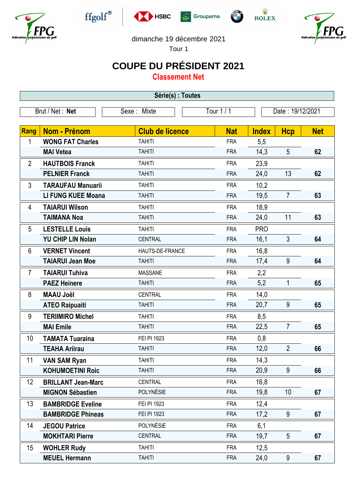











dimanche 19 décembre 2021

Tour 1

## **COUPE DU PRÉSIDENT 2021**

**Classement Net**

| Série(s) : Toutes |                           |                        |            |                  |                 |            |  |
|-------------------|---------------------------|------------------------|------------|------------------|-----------------|------------|--|
|                   | Brut / Net : Net          | Sexe: Mixte            | Tour 1/1   | Date: 19/12/2021 |                 |            |  |
|                   |                           |                        |            |                  |                 |            |  |
| Rang              | Nom - Prénom              | <b>Club de licence</b> | <b>Nat</b> | <b>Index</b>     | <b>Hcp</b>      | <b>Net</b> |  |
| 1                 | <b>WONG FAT Charles</b>   | <b>TAHITI</b>          | <b>FRA</b> | 5,5              |                 |            |  |
|                   | <b>MAI Vetea</b>          | <b>TAHITI</b>          | <b>FRA</b> | 14,3             | 5               | 62         |  |
| $\overline{2}$    | <b>HAUTBOIS Franck</b>    | <b>TAHITI</b>          | <b>FRA</b> | 23,9             |                 |            |  |
|                   | <b>PELNIER Franck</b>     | <b>TAHITI</b>          | <b>FRA</b> | 24,0             | 13              | 62         |  |
| 3                 | <b>TARAUFAU Manuarii</b>  | <b>TAHITI</b>          | <b>FRA</b> | 10,2             |                 |            |  |
|                   | <b>LI FUNG KUEE Moana</b> | <b>TAHITI</b>          | <b>FRA</b> | 19,5             | $\overline{7}$  | 63         |  |
| 4                 | <b>TAIARUI Wilson</b>     | <b>TAHITI</b>          | <b>FRA</b> | 18,9             |                 |            |  |
|                   | <b>TAIMANA Noa</b>        | <b>TAHITI</b>          | <b>FRA</b> | 24,0             | 11              | 63         |  |
| 5                 | <b>LESTELLE Louis</b>     | <b>TAHITI</b>          | <b>FRA</b> | <b>PRO</b>       |                 |            |  |
|                   | <b>YU CHIP LIN Nolan</b>  | <b>CENTRAL</b>         | <b>FRA</b> | 16,1             | 3               | 64         |  |
| 6                 | <b>VERNET Vincent</b>     | HAUTS-DE-FRANCE        | <b>FRA</b> | 16,8             |                 |            |  |
|                   | <b>TAIARUI Jean Moe</b>   | <b>TAHITI</b>          | <b>FRA</b> | 17,4             | 9               | 64         |  |
| $\overline{7}$    | <b>TAIARUI Tuhiva</b>     | <b>MASSANE</b>         | <b>FRA</b> | 2,2              |                 |            |  |
|                   | <b>PAEZ Heinere</b>       | <b>TAHITI</b>          | <b>FRA</b> | 5,2              | 1               | 65         |  |
| 8                 | <b>MAAU Joël</b>          | <b>CENTRAL</b>         | <b>FRA</b> | 14,0             |                 |            |  |
|                   | <b>ATEO Raipuaiti</b>     | <b>TAHITI</b>          | <b>FRA</b> | 20,7             | 9               | 65         |  |
| 9                 | <b>TERIIMIRO Michel</b>   | <b>TAHITI</b>          | <b>FRA</b> | 8,5              |                 |            |  |
|                   | <b>MAI Emile</b>          | <b>TAHITI</b>          | <b>FRA</b> | 22,5             | $\overline{7}$  | 65         |  |
| 10                | <b>TAMATA Tuaraina</b>    | FEI PI 1923            | <b>FRA</b> | 0,8              |                 |            |  |
|                   | <b>TEAHA Ariirau</b>      | <b>TAHITI</b>          | <b>FRA</b> | 12,0             | $\overline{2}$  | 66         |  |
| 11                | <b>VAN SAM Ryan</b>       | <b>TAHITI</b>          | <b>FRA</b> | 14,3             |                 |            |  |
|                   | <b>KOHUMOETINI Roic</b>   | <b>TAHITI</b>          | <b>FRA</b> | 20,9             | 9               | 66         |  |
| 12                | <b>BRILLANT Jean-Marc</b> | <b>CENTRAL</b>         | <b>FRA</b> | 16,8             |                 |            |  |
|                   | <b>MIGNON Sébastien</b>   | POLYNÉSIE              | <b>FRA</b> | 19,8             | 10 <sup>1</sup> | 67         |  |
| 13                | <b>BAMBRIDGE Eveline</b>  | FEI PI 1923            | <b>FRA</b> | 12,4             |                 |            |  |
|                   | <b>BAMBRIDGE Phineas</b>  | FEI PI 1923            | <b>FRA</b> | 17,2             | 9               | 67         |  |
| 14                | <b>JEGOU Patrice</b>      | POLYNÉSIE              | <b>FRA</b> | 6,1              |                 |            |  |
|                   | <b>MOKHTARI Pierre</b>    | <b>CENTRAL</b>         | <b>FRA</b> | 19,7             | 5               | 67         |  |
| 15                | <b>WOHLER Rudy</b>        | <b>TAHITI</b>          | <b>FRA</b> | 12,5             |                 |            |  |
|                   | <b>MEUEL Hermann</b>      | <b>TAHITI</b>          | <b>FRA</b> | 24,0             | 9               | 67         |  |
|                   |                           |                        |            |                  |                 |            |  |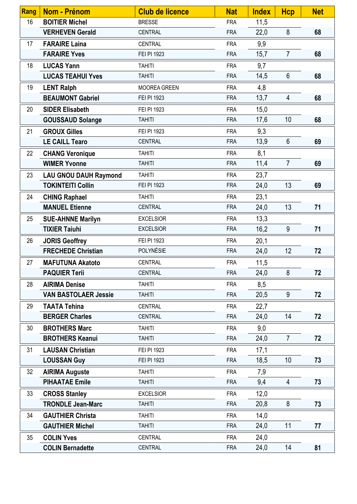| Rang | Nom - Prénom                 | <b>Club de licence</b> | <b>Nat</b> | <b>Index</b> | <b>Hcp</b>     | <b>Net</b> |
|------|------------------------------|------------------------|------------|--------------|----------------|------------|
| 16   | <b>BOITIER Michel</b>        | <b>BRESSE</b>          | <b>FRA</b> | 11,5         |                |            |
|      | <b>VERHEVEN Gerald</b>       | CENTRAL                | <b>FRA</b> | 22,0         | 8              | 68         |
| 17   | <b>FARAIRE Laina</b>         | <b>CENTRAL</b>         | <b>FRA</b> | 9,9          |                |            |
|      | <b>FARAIRE Yves</b>          | FEI PI 1923            | <b>FRA</b> | 15,7         | $\overline{7}$ | 68         |
| 18   | <b>LUCAS Yann</b>            | <b>TAHITI</b>          | <b>FRA</b> | 9,7          |                |            |
|      | <b>LUCAS TEAHUI Yves</b>     | <b>TAHITI</b>          | <b>FRA</b> | 14,5         | $6\phantom{1}$ | 68         |
| 19   | <b>LENT Ralph</b>            | <b>MOOREA GREEN</b>    | <b>FRA</b> | 4,8          |                |            |
|      | <b>BEAUMONT Gabriel</b>      | FEI PI 1923            | <b>FRA</b> | 13,7         | 4              | 68         |
| 20   | <b>SIDER Elisabeth</b>       | FEI PI 1923            | <b>FRA</b> | 15,0         |                |            |
|      | <b>GOUSSAUD Solange</b>      | <b>TAHITI</b>          | <b>FRA</b> | 17,6         | 10             | 68         |
| 21   | <b>GROUX Gilles</b>          | FEI PI 1923            | <b>FRA</b> | 9,3          |                |            |
|      | <b>LE CAILL Tearo</b>        | <b>CENTRAL</b>         | <b>FRA</b> | 13,9         | $6\phantom{1}$ | 69         |
| 22   | <b>CHANG Veronique</b>       | <b>TAHITI</b>          | <b>FRA</b> | 8,1          |                |            |
|      | <b>WIMER Yvonne</b>          | <b>TAHITI</b>          | <b>FRA</b> | 11,4         | $\overline{7}$ | 69         |
| 23   | <b>LAU GNOU DAUH Raymond</b> | <b>TAHITI</b>          | <b>FRA</b> | 23,7         |                |            |
|      | <b>TOKINTEITI Collin</b>     | FEI PI 1923            | <b>FRA</b> | 24,0         | 13             | 69         |
| 24   | <b>CHING Raphael</b>         | <b>TAHITI</b>          | <b>FRA</b> | 23,1         |                |            |
|      | <b>MANUEL Etienne</b>        | CENTRAL                | <b>FRA</b> | 24,0         | 13             | 71         |
| 25   | <b>SUE-AHNNE Marilyn</b>     | <b>EXCELSIOR</b>       | <b>FRA</b> | 13,3         |                |            |
|      | <b>TIXIER Taiuhi</b>         | <b>EXCELSIOR</b>       | <b>FRA</b> | 16,2         | 9              | 71         |
| 26   | <b>JORIS Geoffrey</b>        | FEI PI 1923            | <b>FRA</b> | 20,1         |                |            |
|      | <b>FRECHEDE Christian</b>    | POLYNÉSIE              | <b>FRA</b> | 24,0         | 12             | 72         |
| 27   | <b>MAFUTUNA Akatoto</b>      | <b>CENTRAL</b>         | <b>FRA</b> | 11,5         |                |            |
|      | <b>PAQUIER Terii</b>         | <b>CENTRAL</b>         | <b>FRA</b> | 24,0         | 8              | 72         |
| 28   | <b>AIRIMA Denise</b>         | <b>TAHITI</b>          | <b>FRA</b> | 8,5          |                |            |
|      | <b>VAN BASTOLAER Jessie</b>  | <b>TAHITI</b>          | <b>FRA</b> | 20,5         | 9              | 72         |
| 29   | <b>TAATA Tehina</b>          | CENTRAL                | <b>FRA</b> | 22,7         |                |            |
|      | <b>BERGER Charles</b>        | <b>CENTRAL</b>         | <b>FRA</b> | 24,0         | 14             | 72         |
| 30   | <b>BROTHERS Marc</b>         | <b>TAHITI</b>          | <b>FRA</b> | 9,0          |                |            |
|      | <b>BROTHERS Keanui</b>       | <b>TAHITI</b>          | <b>FRA</b> | 24,0         | $\overline{7}$ | 72         |
| 31   | <b>LAUSAN Christian</b>      | FEI PI 1923            | <b>FRA</b> | 17,1         |                |            |
|      | <b>LOUSSAN Guy</b>           | FEI PI 1923            | <b>FRA</b> | 18,5         | 10             | 73         |
| 32   | <b>AIRIMA Auguste</b>        | <b>TAHITI</b>          | <b>FRA</b> | 7,9          |                |            |
|      | <b>PIHAATAE Emile</b>        | <b>TAHITI</b>          | <b>FRA</b> | 9,4          | 4              | 73         |
| 33   | <b>CROSS Stanley</b>         | <b>EXCELSIOR</b>       | <b>FRA</b> | 12,0         |                |            |
|      | <b>TRONDLE Jean-Marc</b>     | <b>TAHITI</b>          | <b>FRA</b> | 20,8         | 8              | 73         |
| 34   | <b>GAUTHIER Christa</b>      | <b>TAHITI</b>          | <b>FRA</b> | 14,0         |                |            |
|      | <b>GAUTHIER Michel</b>       | <b>TAHITI</b>          | <b>FRA</b> | 24,0         | 11             | 77         |
| 35   | <b>COLIN Yves</b>            | CENTRAL                | <b>FRA</b> | 24,0         |                |            |
|      | <b>COLIN Bernadette</b>      | CENTRAL                | <b>FRA</b> | 24,0         | 14             | 81         |